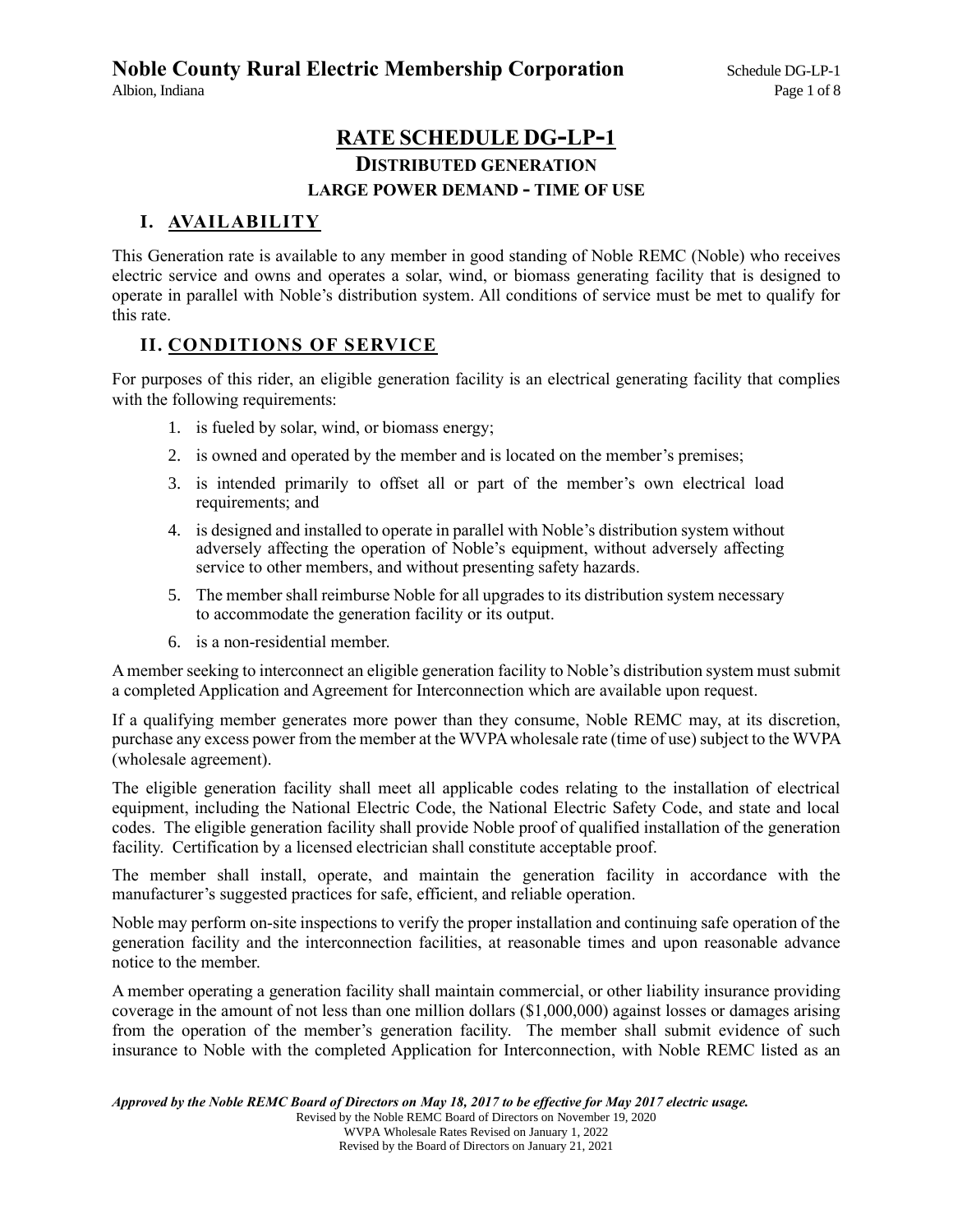# **RATE SCHEDULE DG-LP-1 DISTRIBUTED GENERATION LARGE POWER DEMAND - TIME OF USE**

## **I. AVAILABILITY**

This Generation rate is available to any member in good standing of Noble REMC (Noble) who receives electric service and owns and operates a solar, wind, or biomass generating facility that is designed to operate in parallel with Noble's distribution system. All conditions of service must be met to qualify for this rate.

## **II. CONDITIONS OF SERVICE**

For purposes of this rider, an eligible generation facility is an electrical generating facility that complies with the following requirements:

- 1. is fueled by solar, wind, or biomass energy;
- 2. is owned and operated by the member and is located on the member's premises;
- 3. is intended primarily to offset all or part of the member's own electrical load requirements; and
- 4. is designed and installed to operate in parallel with Noble's distribution system without adversely affecting the operation of Noble's equipment, without adversely affecting service to other members, and without presenting safety hazards.
- 5. The member shall reimburse Noble for all upgrades to its distribution system necessary to accommodate the generation facility or its output.
- 6. is a non-residential member.

A member seeking to interconnect an eligible generation facility to Noble's distribution system must submit a completed Application and Agreement for Interconnection which are available upon request.

If a qualifying member generates more power than they consume, Noble REMC may, at its discretion, purchase any excess power from the member at the WVPA wholesale rate (time of use) subject to the WVPA (wholesale agreement).

The eligible generation facility shall meet all applicable codes relating to the installation of electrical equipment, including the National Electric Code, the National Electric Safety Code, and state and local codes. The eligible generation facility shall provide Noble proof of qualified installation of the generation facility. Certification by a licensed electrician shall constitute acceptable proof.

The member shall install, operate, and maintain the generation facility in accordance with the manufacturer's suggested practices for safe, efficient, and reliable operation.

Noble may perform on-site inspections to verify the proper installation and continuing safe operation of the generation facility and the interconnection facilities, at reasonable times and upon reasonable advance notice to the member.

A member operating a generation facility shall maintain commercial, or other liability insurance providing coverage in the amount of not less than one million dollars (\$1,000,000) against losses or damages arising from the operation of the member's generation facility. The member shall submit evidence of such insurance to Noble with the completed Application for Interconnection, with Noble REMC listed as an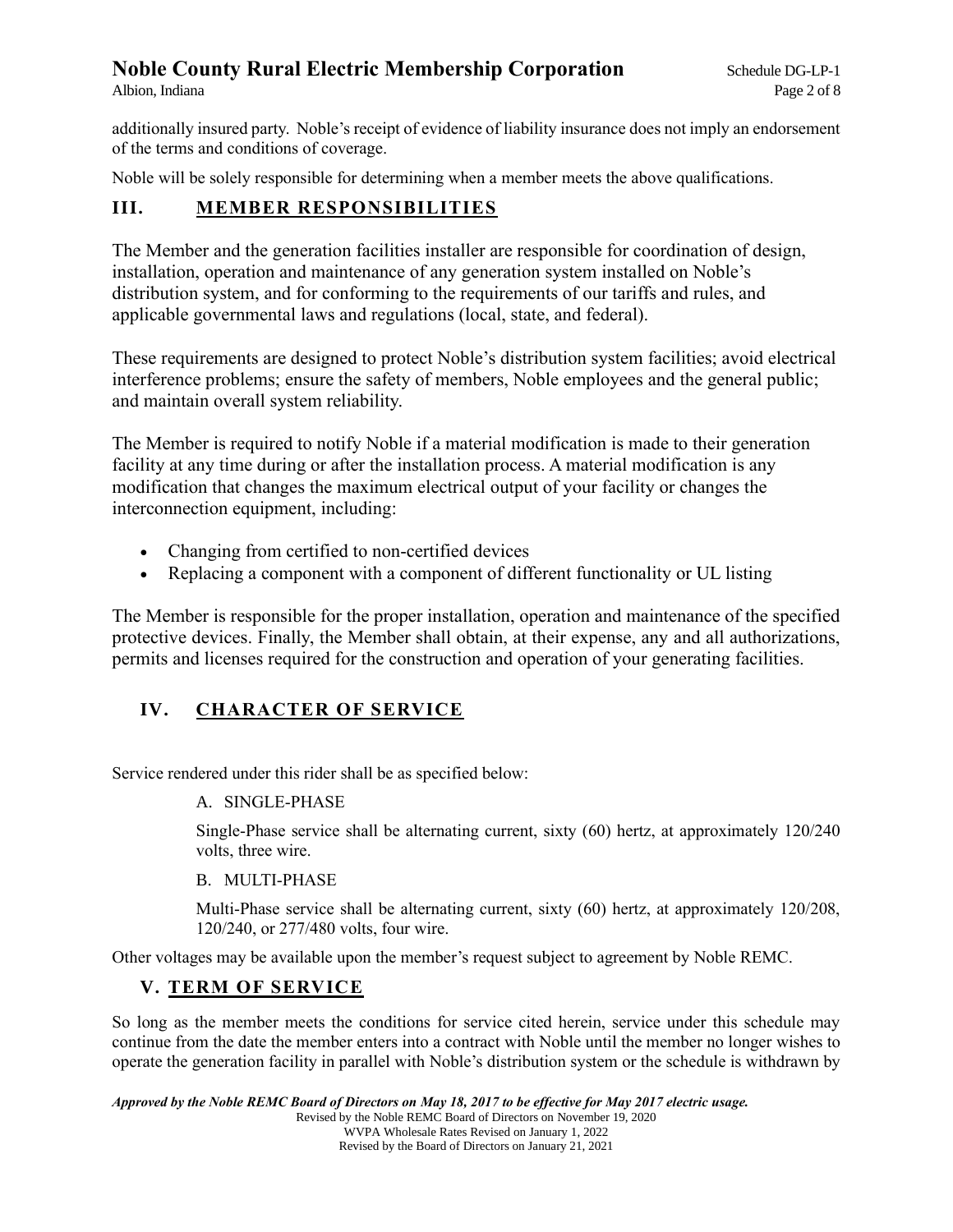additionally insured party. Noble's receipt of evidence of liability insurance does not imply an endorsement of the terms and conditions of coverage.

Noble will be solely responsible for determining when a member meets the above qualifications.

## **III. MEMBER RESPONSIBILITIES**

The Member and the generation facilities installer are responsible for coordination of design, installation, operation and maintenance of any generation system installed on Noble's distribution system, and for conforming to the requirements of our tariffs and rules, and applicable governmental laws and regulations (local, state, and federal).

These requirements are designed to protect Noble's distribution system facilities; avoid electrical interference problems; ensure the safety of members, Noble employees and the general public; and maintain overall system reliability.

The Member is required to notify Noble if a material modification is made to their generation facility at any time during or after the installation process. A material modification is any modification that changes the maximum electrical output of your facility or changes the interconnection equipment, including:

- Changing from certified to non-certified devices
- Replacing a component with a component of different functionality or UL listing

The Member is responsible for the proper installation, operation and maintenance of the specified protective devices. Finally, the Member shall obtain, at their expense, any and all authorizations, permits and licenses required for the construction and operation of your generating facilities.

# **IV. CHARACTER OF SERVICE**

Service rendered under this rider shall be as specified below:

#### A. SINGLE-PHASE

Single-Phase service shall be alternating current, sixty (60) hertz, at approximately 120/240 volts, three wire.

#### B. MULTI-PHASE

Multi-Phase service shall be alternating current, sixty (60) hertz, at approximately 120/208, 120/240, or 277/480 volts, four wire.

Other voltages may be available upon the member's request subject to agreement by Noble REMC.

## **V. TERM OF SERVICE**

So long as the member meets the conditions for service cited herein, service under this schedule may continue from the date the member enters into a contract with Noble until the member no longer wishes to operate the generation facility in parallel with Noble's distribution system or the schedule is withdrawn by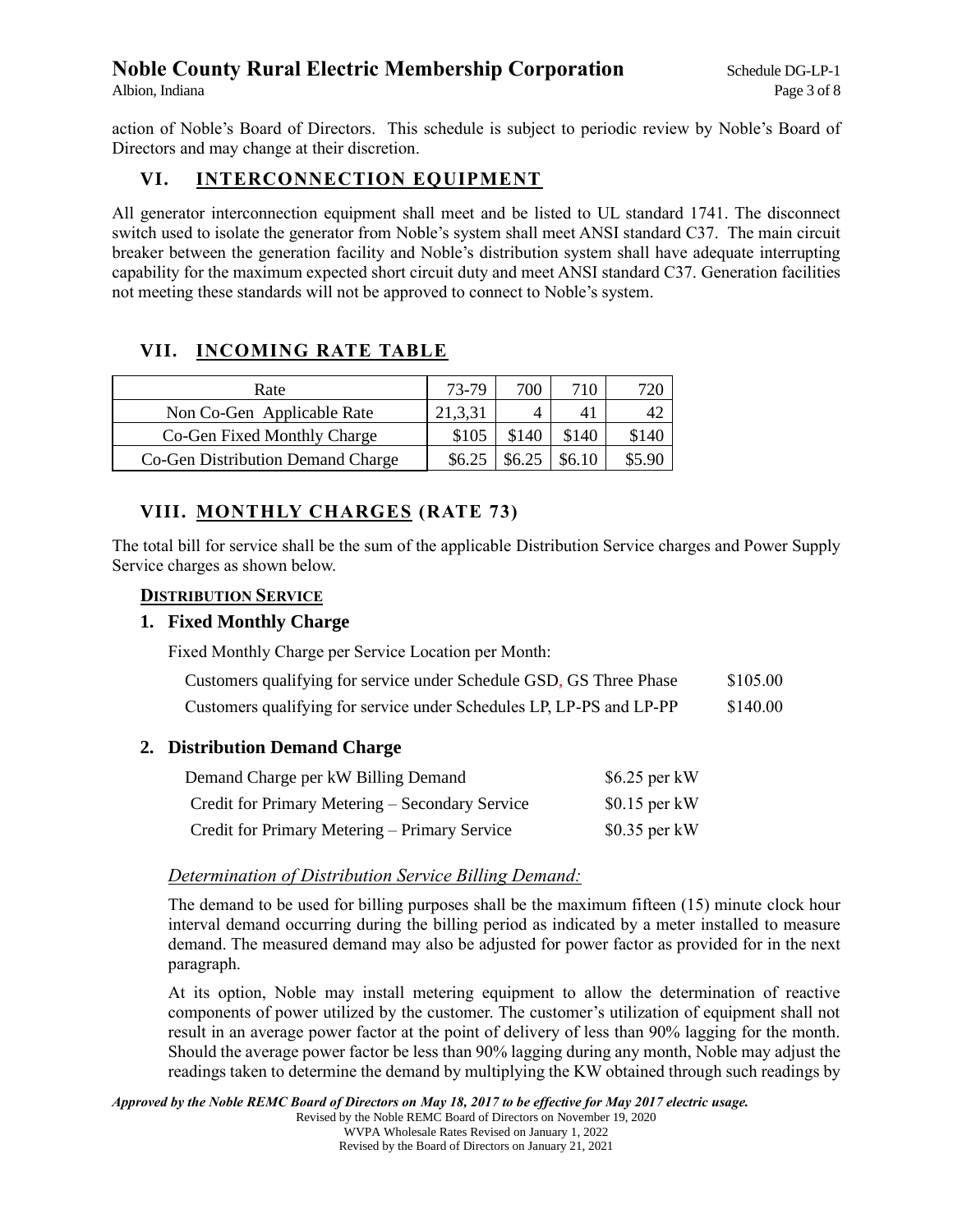action of Noble's Board of Directors. This schedule is subject to periodic review by Noble's Board of Directors and may change at their discretion.

## **VI. INTERCONNECTION EQUIPMENT**

All generator interconnection equipment shall meet and be listed to UL standard 1741. The disconnect switch used to isolate the generator from Noble's system shall meet ANSI standard C37. The main circuit breaker between the generation facility and Noble's distribution system shall have adequate interrupting capability for the maximum expected short circuit duty and meet ANSI standard C37. Generation facilities not meeting these standards will not be approved to connect to Noble's system.

# **VII. INCOMING RATE TABLE**

| Rate                              | 73-79   | 700    | 710    | 720    |
|-----------------------------------|---------|--------|--------|--------|
| Non Co-Gen Applicable Rate        | 21,3,31 |        | 41     | 42     |
| Co-Gen Fixed Monthly Charge       | \$105   | \$140  | \$140  | \$140  |
| Co-Gen Distribution Demand Charge | \$6.25  | \$6.25 | \$6.10 | \$5.90 |

# **VIII. MONTHLY CHARGES (RATE 73)**

The total bill for service shall be the sum of the applicable Distribution Service charges and Power Supply Service charges as shown below.

#### **DISTRIBUTION SERVICE**

### **1. Fixed Monthly Charge**

Fixed Monthly Charge per Service Location per Month:

| Customers qualifying for service under Schedule GSD, GS Three Phase  | \$105.00 |
|----------------------------------------------------------------------|----------|
| Customers qualifying for service under Schedules LP, LP-PS and LP-PP | \$140.00 |

## **2. Distribution Demand Charge**

| Demand Charge per kW Billing Demand             | $$6.25$ per kW |
|-------------------------------------------------|----------------|
| Credit for Primary Metering – Secondary Service | $$0.15$ per kW |
| Credit for Primary Metering – Primary Service   | $$0.35$ per kW |

#### *Determination of Distribution Service Billing Demand:*

The demand to be used for billing purposes shall be the maximum fifteen (15) minute clock hour interval demand occurring during the billing period as indicated by a meter installed to measure demand. The measured demand may also be adjusted for power factor as provided for in the next paragraph.

At its option, Noble may install metering equipment to allow the determination of reactive components of power utilized by the customer. The customer's utilization of equipment shall not result in an average power factor at the point of delivery of less than 90% lagging for the month. Should the average power factor be less than 90% lagging during any month, Noble may adjust the readings taken to determine the demand by multiplying the KW obtained through such readings by

*Approved by the Noble REMC Board of Directors on May 18, 2017 to be effective for May 2017 electric usage.* Revised by the Noble REMC Board of Directors on November 19, 2020 WVPA Wholesale Rates Revised on January 1, 2022 Revised by the Board of Directors on January 21, 2021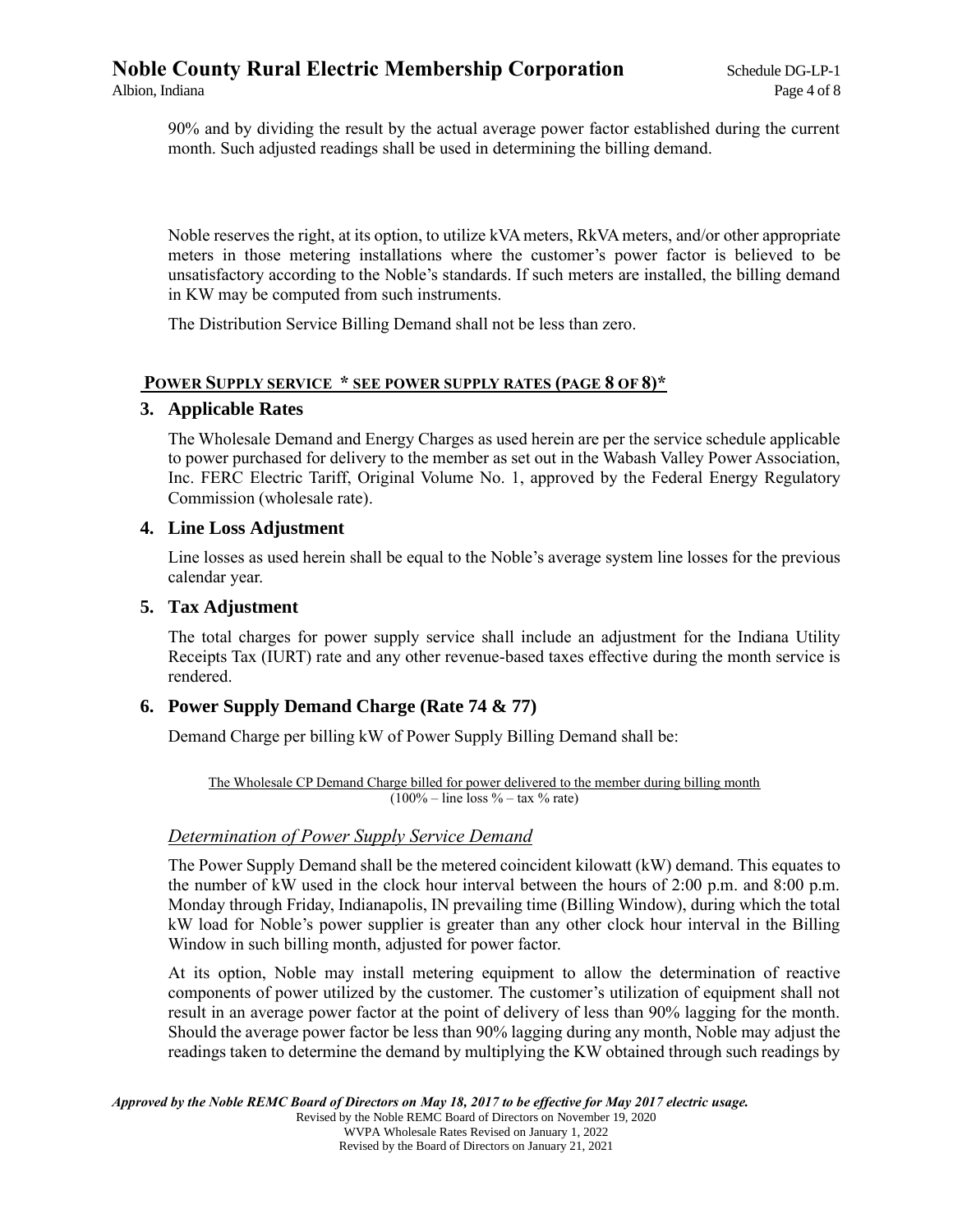90% and by dividing the result by the actual average power factor established during the current month. Such adjusted readings shall be used in determining the billing demand.

Noble reserves the right, at its option, to utilize kVA meters, RkVA meters, and/or other appropriate meters in those metering installations where the customer's power factor is believed to be unsatisfactory according to the Noble's standards. If such meters are installed, the billing demand in KW may be computed from such instruments.

The Distribution Service Billing Demand shall not be less than zero.

#### **POWER SUPPLY SERVICE \* SEE POWER SUPPLY RATES (PAGE 8 OF 8)\***

#### **3. Applicable Rates**

The Wholesale Demand and Energy Charges as used herein are per the service schedule applicable to power purchased for delivery to the member as set out in the Wabash Valley Power Association, Inc. FERC Electric Tariff, Original Volume No. 1, approved by the Federal Energy Regulatory Commission (wholesale rate).

#### **4. Line Loss Adjustment**

Line losses as used herein shall be equal to the Noble's average system line losses for the previous calendar year.

#### **5. Tax Adjustment**

The total charges for power supply service shall include an adjustment for the Indiana Utility Receipts Tax (IURT) rate and any other revenue-based taxes effective during the month service is rendered.

#### **6. Power Supply Demand Charge (Rate 74 & 77)**

Demand Charge per billing kW of Power Supply Billing Demand shall be:

The Wholesale CP Demand Charge billed for power delivered to the member during billing month  $(100\% - line \text{ loss } % - tax \text{ % rate})$ 

#### *Determination of Power Supply Service Demand*

The Power Supply Demand shall be the metered coincident kilowatt (kW) demand. This equates to the number of kW used in the clock hour interval between the hours of 2:00 p.m. and 8:00 p.m. Monday through Friday, Indianapolis, IN prevailing time (Billing Window), during which the total kW load for Noble's power supplier is greater than any other clock hour interval in the Billing Window in such billing month, adjusted for power factor.

At its option, Noble may install metering equipment to allow the determination of reactive components of power utilized by the customer. The customer's utilization of equipment shall not result in an average power factor at the point of delivery of less than 90% lagging for the month. Should the average power factor be less than 90% lagging during any month, Noble may adjust the readings taken to determine the demand by multiplying the KW obtained through such readings by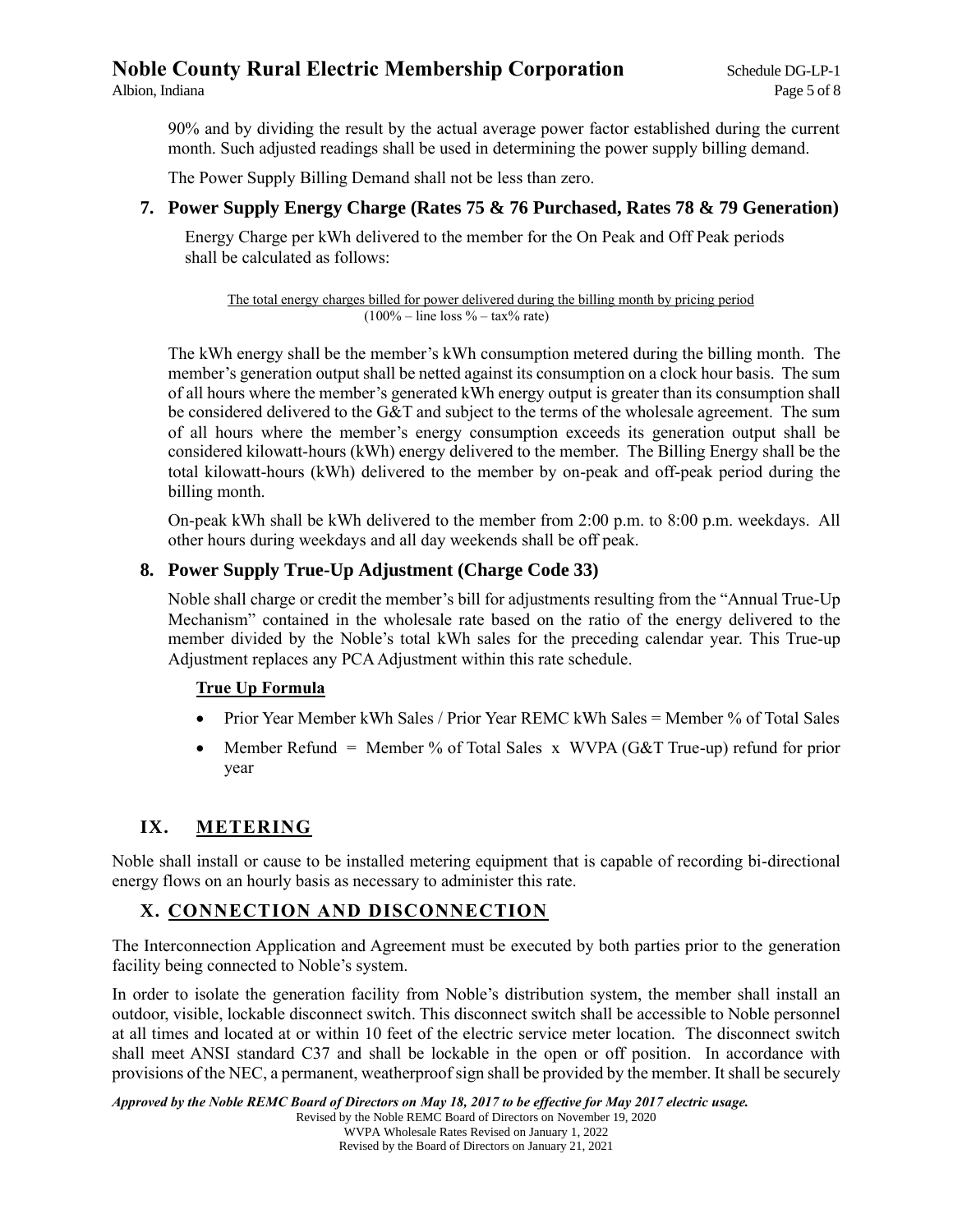90% and by dividing the result by the actual average power factor established during the current month. Such adjusted readings shall be used in determining the power supply billing demand.

The Power Supply Billing Demand shall not be less than zero.

#### **7. Power Supply Energy Charge (Rates 75 & 76 Purchased, Rates 78 & 79 Generation)**

Energy Charge per kWh delivered to the member for the On Peak and Off Peak periods shall be calculated as follows:

The total energy charges billed for power delivered during the billing month by pricing period  $(100\% - line loss % - tax\% rate)$ 

The kWh energy shall be the member's kWh consumption metered during the billing month. The member's generation output shall be netted against its consumption on a clock hour basis. The sum of all hours where the member's generated kWh energy output is greater than its consumption shall be considered delivered to the G&T and subject to the terms of the wholesale agreement. The sum of all hours where the member's energy consumption exceeds its generation output shall be considered kilowatt-hours (kWh) energy delivered to the member. The Billing Energy shall be the total kilowatt-hours (kWh) delivered to the member by on-peak and off-peak period during the billing month.

On-peak kWh shall be kWh delivered to the member from 2:00 p.m. to 8:00 p.m. weekdays. All other hours during weekdays and all day weekends shall be off peak.

#### **8. Power Supply True-Up Adjustment (Charge Code 33)**

Noble shall charge or credit the member's bill for adjustments resulting from the "Annual True-Up Mechanism" contained in the wholesale rate based on the ratio of the energy delivered to the member divided by the Noble's total kWh sales for the preceding calendar year. This True-up Adjustment replaces any PCA Adjustment within this rate schedule.

#### **True Up Formula**

- Prior Year Member kWh Sales / Prior Year REMC kWh Sales = Member % of Total Sales
- Member Refund = Member % of Total Sales x WVPA ( $G&T$  True-up) refund for prior year

## **IX. METERING**

Noble shall install or cause to be installed metering equipment that is capable of recording bi-directional energy flows on an hourly basis as necessary to administer this rate.

#### **X. CONNECTION AND DISCONNECTION**

The Interconnection Application and Agreement must be executed by both parties prior to the generation facility being connected to Noble's system.

In order to isolate the generation facility from Noble's distribution system, the member shall install an outdoor, visible, lockable disconnect switch. This disconnect switch shall be accessible to Noble personnel at all times and located at or within 10 feet of the electric service meter location. The disconnect switch shall meet ANSI standard C37 and shall be lockable in the open or off position. In accordance with provisions of the NEC, a permanent, weatherproof sign shall be provided by the member. It shall be securely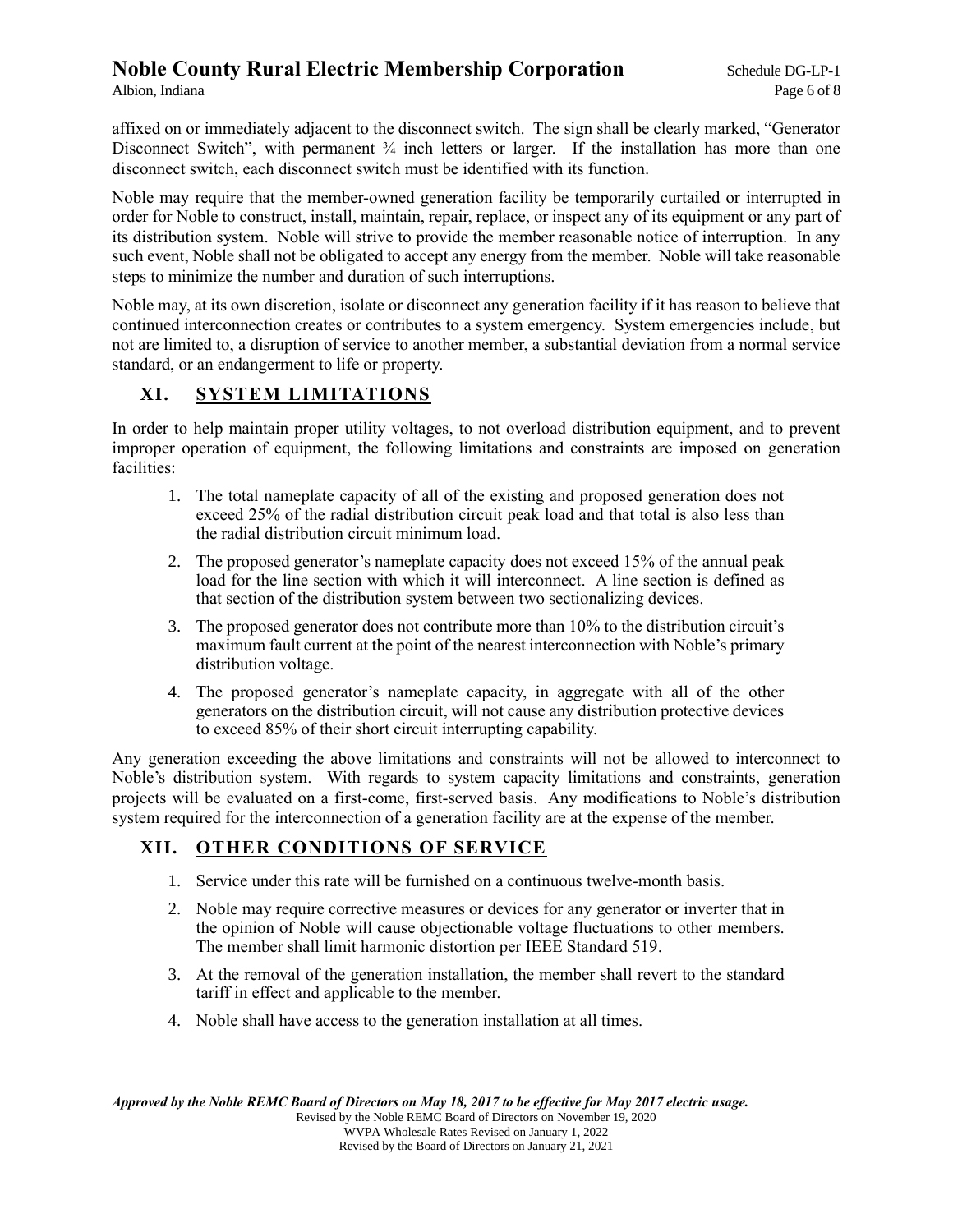affixed on or immediately adjacent to the disconnect switch. The sign shall be clearly marked, "Generator Disconnect Switch", with permanent  $\frac{3}{4}$  inch letters or larger. If the installation has more than one disconnect switch, each disconnect switch must be identified with its function.

Noble may require that the member-owned generation facility be temporarily curtailed or interrupted in order for Noble to construct, install, maintain, repair, replace, or inspect any of its equipment or any part of its distribution system. Noble will strive to provide the member reasonable notice of interruption. In any such event, Noble shall not be obligated to accept any energy from the member. Noble will take reasonable steps to minimize the number and duration of such interruptions.

Noble may, at its own discretion, isolate or disconnect any generation facility if it has reason to believe that continued interconnection creates or contributes to a system emergency. System emergencies include, but not are limited to, a disruption of service to another member, a substantial deviation from a normal service standard, or an endangerment to life or property.

## **XI. SYSTEM LIMITATIONS**

In order to help maintain proper utility voltages, to not overload distribution equipment, and to prevent improper operation of equipment, the following limitations and constraints are imposed on generation facilities:

- 1. The total nameplate capacity of all of the existing and proposed generation does not exceed 25% of the radial distribution circuit peak load and that total is also less than the radial distribution circuit minimum load.
- 2. The proposed generator's nameplate capacity does not exceed 15% of the annual peak load for the line section with which it will interconnect. A line section is defined as that section of the distribution system between two sectionalizing devices.
- 3. The proposed generator does not contribute more than 10% to the distribution circuit's maximum fault current at the point of the nearest interconnection with Noble's primary distribution voltage.
- 4. The proposed generator's nameplate capacity, in aggregate with all of the other generators on the distribution circuit, will not cause any distribution protective devices to exceed 85% of their short circuit interrupting capability.

Any generation exceeding the above limitations and constraints will not be allowed to interconnect to Noble's distribution system. With regards to system capacity limitations and constraints, generation projects will be evaluated on a first-come, first-served basis. Any modifications to Noble's distribution system required for the interconnection of a generation facility are at the expense of the member.

# **XII. OTHER CONDITIONS OF SERVICE**

- 1. Service under this rate will be furnished on a continuous twelve-month basis.
- 2. Noble may require corrective measures or devices for any generator or inverter that in the opinion of Noble will cause objectionable voltage fluctuations to other members. The member shall limit harmonic distortion per IEEE Standard 519.
- 3. At the removal of the generation installation, the member shall revert to the standard tariff in effect and applicable to the member.
- 4. Noble shall have access to the generation installation at all times.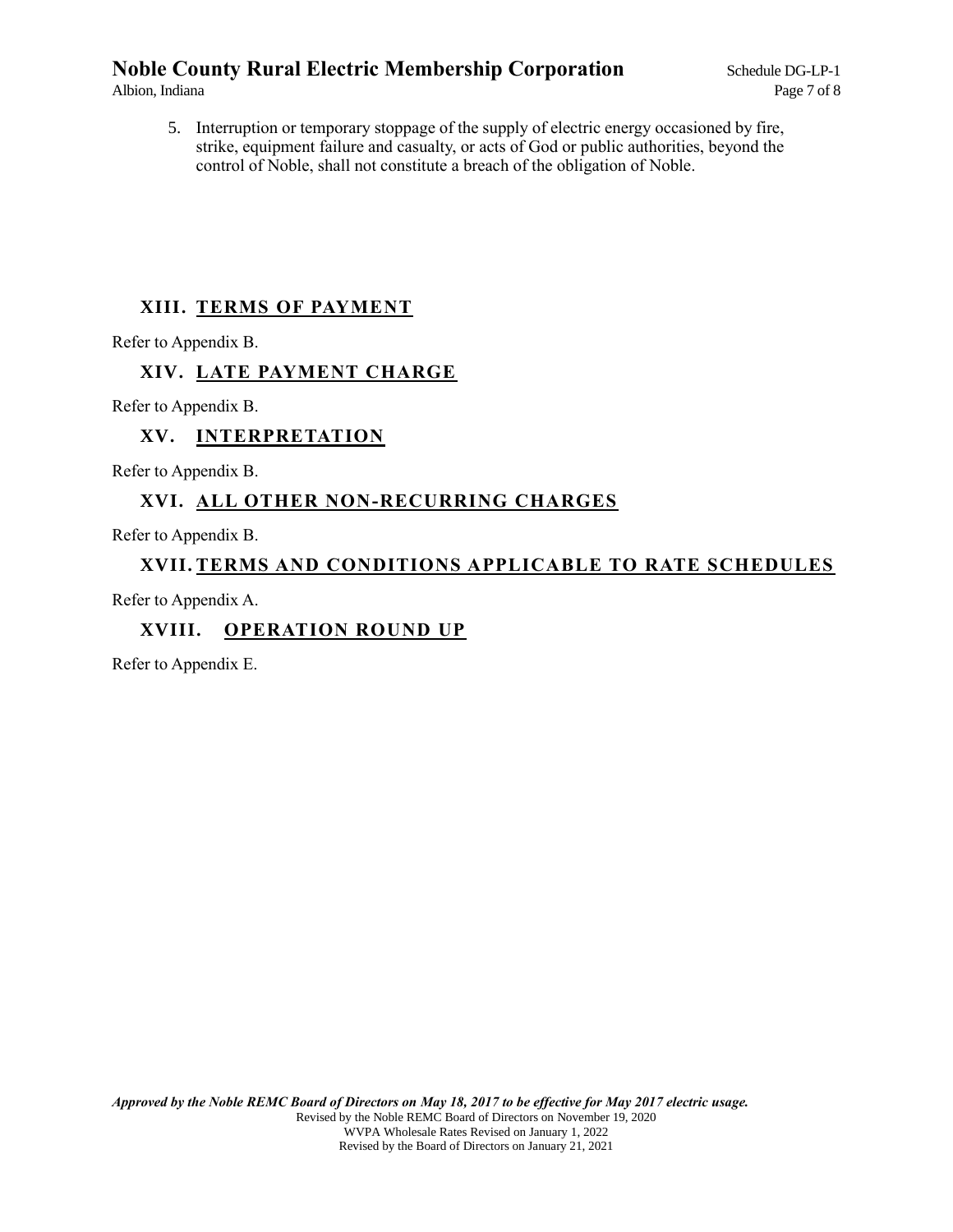5. Interruption or temporary stoppage of the supply of electric energy occasioned by fire, strike, equipment failure and casualty, or acts of God or public authorities, beyond the control of Noble, shall not constitute a breach of the obligation of Noble.

## **XIII. TERMS OF PAYMENT**

Refer to Appendix B.

## **XIV. LATE PAYMENT CHARGE**

Refer to Appendix B.

## **XV. INTERPRETATION**

Refer to Appendix B.

# **XVI. ALL OTHER NON-RECURRING CHARGES**

Refer to Appendix B.

### **XVII. TERMS AND CONDITIONS APPLICABLE TO RATE SCHEDULES**

Refer to Appendix A.

## **XVIII. OPERATION ROUND UP**

Refer to Appendix E.